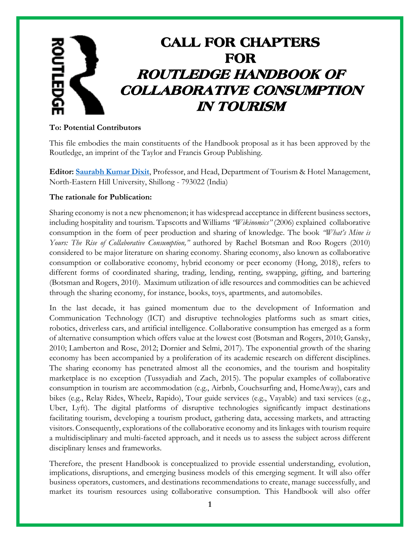# CALL FOR CHAPTERS FOR ROUTLEDGE HANDBOOK OF COLLABORATIVE CONSUMPTION IN TOURISM

#### **To: Potential Contributors**

This file embodies the main constituents of the Handbook proposal as it has been approved by the Routledge, an imprint of the Taylor and Francis Group Publishing.

**Editor: [Saurabh Kumar Dixit](https://www.routledge.com/authors/i15903-saurabh-dixit)**, Professor, and Head, Department of Tourism & Hotel Management, North-Eastern Hill University, Shillong - 793022 (India)

#### **The rationale for Publication:**

Sharing economy is not a new phenomenon; it has widespread acceptance in different business sectors, including hospitality and tourism. Tapscotts and Williams *"Wikinomics"* (2006) explained collaborative consumption in the form of peer production and sharing of knowledge. The book *"What's Mine is Yours: The Rise of Collaborative Consumption,"* authored by Rachel Botsman and Roo Rogers (2010) considered to be major literature on sharing economy. Sharing economy, also known as collaborative consumption or collaborative economy, hybrid economy or peer economy (Hong, 2018), refers to different forms of coordinated sharing, trading, lending, renting, swapping, gifting, and bartering (Botsman and Rogers, 2010). Maximum utilization of idle resources and commodities can be achieved through the sharing economy, for instance, books, toys, apartments, and automobiles.

In the last decade, it has gained momentum due to the development of Information and Communication Technology (ICT) and disruptive technologies platforms such as smart cities, robotics, driverless cars, and artificial intelligence. Collaborative consumption has emerged as a form of alternative consumption which offers value at the lowest cost (Botsman and Rogers, 2010; Gansky, 2010; Lamberton and Rose, 2012; Dornier and Selmi, 2017). The exponential growth of the sharing economy has been accompanied by a proliferation of its academic research on different disciplines. The sharing economy has penetrated almost all the economies, and the tourism and hospitality marketplace is no exception (Tussyadiah and Zach, 2015). The popular examples of collaborative consumption in tourism are accommodation (e.g., Airbnb, Couchsurfing and, HomeAway), cars and bikes (e.g., Relay Rides, Wheelz, Rapido), Tour guide services (e.g., Vayable) and taxi services (e.g., Uber, Lyft). The digital platforms of disruptive technologies significantly impact destinations facilitating tourism, developing a tourism product, gathering data, accessing markets, and attracting visitors. Consequently, explorations of the collaborative economy and its linkages with tourism require a multidisciplinary and multi-faceted approach, and it needs us to assess the subject across different disciplinary lenses and frameworks.

Therefore, the present Handbook is conceptualized to provide essential understanding, evolution, implications, disruptions, and emerging business models of this emerging segment. It will also offer business operators, customers, and destinations recommendations to create, manage successfully, and market its tourism resources using collaborative consumption. This Handbook will also offer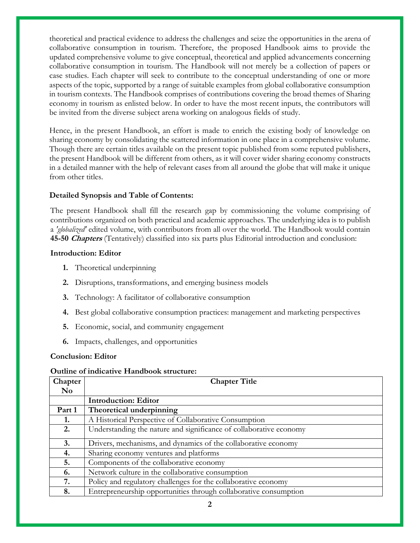theoretical and practical evidence to address the challenges and seize the opportunities in the arena of collaborative consumption in tourism. Therefore, the proposed Handbook aims to provide the updated comprehensive volume to give conceptual, theoretical and applied advancements concerning collaborative consumption in tourism. The Handbook will not merely be a collection of papers or case studies. Each chapter will seek to contribute to the conceptual understanding of one or more aspects of the topic, supported by a range of suitable examples from global collaborative consumption in tourism contexts. The Handbook comprises of contributions covering the broad themes of Sharing economy in tourism as enlisted below. In order to have the most recent inputs, the contributors will be invited from the diverse subject arena working on analogous fields of study.

Hence, in the present Handbook, an effort is made to enrich the existing body of knowledge on sharing economy by consolidating the scattered information in one place in a comprehensive volume. Though there are certain titles available on the present topic published from some reputed publishers, the present Handbook will be different from others, as it will cover wider sharing economy constructs in a detailed manner with the help of relevant cases from all around the globe that will make it unique from other titles.

## **Detailed Synopsis and Table of Contents:**

The present Handbook shall fill the research gap by commissioning the volume comprising of contributions organized on both practical and academic approaches. The underlying idea is to publish a *'globalized'* edited volume, with contributors from all over the world. The Handbook would contain **45-50 Chapters** (Tentatively) classified into six parts plus Editorial introduction and conclusion:

## **Introduction: Editor**

- **1.** Theoretical underpinning
- **2.** Disruptions, transformations, and emerging business models
- **3.** Technology: A facilitator of collaborative consumption
- **4.** Best global collaborative consumption practices: management and marketing perspectives
- **5.** Economic, social, and community engagement
- **6.** Impacts, challenges, and opportunities

## **Conclusion: Editor**

## **Outline of indicative Handbook structure:**

| Chapter                | <b>Chapter Title</b>                                               |
|------------------------|--------------------------------------------------------------------|
| $\mathbf{N}\mathbf{o}$ |                                                                    |
|                        | <b>Introduction: Editor</b>                                        |
| Part 1                 | Theoretical underpinning                                           |
| 1.                     | A Historical Perspective of Collaborative Consumption              |
| 2.                     | Understanding the nature and significance of collaborative economy |
| 3.                     | Drivers, mechanisms, and dynamics of the collaborative economy     |
| 4.                     | Sharing economy ventures and platforms                             |
| 5.                     | Components of the collaborative economy                            |
| 6.                     | Network culture in the collaborative consumption                   |
| 7.                     | Policy and regulatory challenges for the collaborative economy     |
| 8.                     | Entrepreneurship opportunities through collaborative consumption   |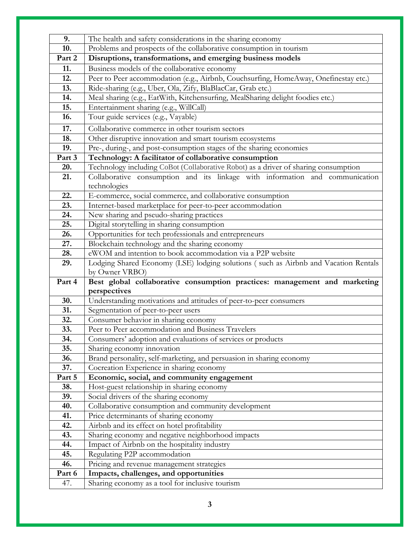| 9.            | The health and safety considerations in the sharing economy                                                 |
|---------------|-------------------------------------------------------------------------------------------------------------|
| 10.           | Problems and prospects of the collaborative consumption in tourism                                          |
| Part 2        | Disruptions, transformations, and emerging business models                                                  |
| 11.           | Business models of the collaborative economy                                                                |
| 12.           | Peer to Peer accommodation (e.g., Airbnb, Couchsurfing, HomeAway, Onefinestay etc.)                         |
| 13.           | Ride-sharing (e.g., Uber, Ola, Zify, BlaBlacCar, Grab etc.)                                                 |
| 14.           | Meal sharing (e.g., EatWith, Kitchensurfing, MealSharing delight foodies etc.)                              |
| 15.           | Entertainment sharing (e.g., WillCall)                                                                      |
| 16.           | Tour guide services (e.g., Vayable)                                                                         |
| 17.           | Collaborative commerce in other tourism sectors                                                             |
| 18.           | Other disruptive innovation and smart tourism ecosystems                                                    |
| 19.           | Pre-, during-, and post-consumption stages of the sharing economies                                         |
| Part 3        | Technology: A facilitator of collaborative consumption                                                      |
| 20.           | Technology including CoBot (Collaborative Robot) as a driver of sharing consumption                         |
| 21.           | Collaborative consumption and its linkage with information and communication                                |
|               | technologies                                                                                                |
| 22.           | E-commerce, social commerce, and collaborative consumption                                                  |
| 23.           | Internet-based marketplace for peer-to-peer accommodation                                                   |
| 24.           | New sharing and pseudo-sharing practices                                                                    |
| 25.           | Digital storytelling in sharing consumption                                                                 |
| 26.           | Opportunities for tech professionals and entrepreneurs                                                      |
| 27.           | Blockchain technology and the sharing economy<br>eWOM and intention to book accommodation via a P2P website |
| 28.<br>29.    | Lodging Shared Economy (LSE) lodging solutions (such as Airbnb and Vacation Rentals                         |
|               | by Owner VRBO)                                                                                              |
|               |                                                                                                             |
|               |                                                                                                             |
| Part 4        | Best global collaborative consumption practices: management and marketing                                   |
| 30.           | perspectives                                                                                                |
| 31.           | Understanding motivations and attitudes of peer-to-peer consumers<br>Segmentation of peer-to-peer users     |
| 32.           | Consumer behavior in sharing economy                                                                        |
| 33.           | Peer to Peer accommodation and Business Travelers                                                           |
| 34.           | Consumers' adoption and evaluations of services or products                                                 |
| 35.           | Sharing economy innovation                                                                                  |
| 36.           | Brand personality, self-marketing, and persuasion in sharing economy                                        |
| 37.           | Cocreation Experience in sharing economy                                                                    |
| Part 5        | Economic, social, and community engagement                                                                  |
| 38.           | Host-guest relationship in sharing economy                                                                  |
| 39.           | Social drivers of the sharing economy                                                                       |
| 40.           | Collaborative consumption and community development                                                         |
| 41.           | Price determinants of sharing economy                                                                       |
| 42.           | Airbnb and its effect on hotel profitability                                                                |
| 43.           | Sharing economy and negative neighborhood impacts                                                           |
| 44.           | Impact of Airbnb on the hospitality industry                                                                |
| 45.           | Regulating P2P accommodation                                                                                |
| 46.           | Pricing and revenue management strategies                                                                   |
| Part 6<br>47. | Impacts, challenges, and opportunities<br>Sharing economy as a tool for inclusive tourism                   |